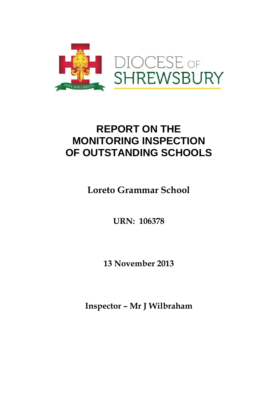

# **REPORT ON THE MONITORING INSPECTION OF OUTSTANDING SCHOOLS**

**Loreto Grammar School** 

**URN: 106378** 

**13 November 2013** 

**Inspector – Mr J Wilbraham**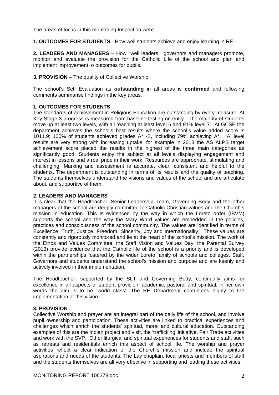The areas of focus in this monitoring Inspection were :-

**1. OUTCOMES FOR STUDENTS** - How well students achieve and enjoy learning in RE.

**2. LEADERS AND MANAGERS** – How well leaders, governors and managers promote, monitor and evaluate the provision for the Catholic Life of the school and plan and implement improvement o outcomes for pupils.

## **3. PROVISION** – The quality of Collective Worship

The school's Self Evaluation as **outstanding** in all areas is **confirmed** and following comments summarise findings in the key areas.

### **1. OUTCOMES FOR STUDENTS**

The standards of achievement in Religious Education are outstanding by every measure. At Key Stage 3 progress is measured from baseline testing on entry. The majority of students move up at least two levels, with all reaching at least level 6 and 91% level 7. At GCSE the department achieves the school's best results where the school's value added score is 1011.9; 100% of students achieved grades A\* -B, including 79% achieving A\*. 'A' level results are very strong with increasing uptake; for example in 2013 the AS ALPS target achievement score placed the results in the highest of the three main categories as significantly good. Students enjoy the subject at all levels displaying engagement and interest in lessons and a real pride in their work. Resources are appropriate, stimulating and challenging. Marking and assessment is accurate, clear, consistent and helpful to the students. The department is outstanding in terms of its results and the quality of teaching. The students themselves understand the visions and values of the school and are articulate about, and supportive of them.

#### **2. LEADERS AND MANAGERS**

It is clear that the Headteacher, Senior Leadership Team, Governing Body and the other managers of the school are deeply committed to Catholic Christian values and the Church's mission in education. This is evidenced by the way in which the Loreto order (IBVM) supports the school and the way the Mary Ward values are embedded in the policies, practices and consciousness of the school community. The values are identified in terms of Excellence, Truth, Justice, Freedom. Sincerity, Joy and Internationality. These values are constantly and rigorously monitored and lie at the heart of the school's mission. The work of the Ethos and Values Committee, the Staff Vision and Values Day, the Parental Survey (2013) provide evidence that the Catholic life of the school is a priority and is developed within the partnerships fostered by the wider Loreto family of schools and colleges. Staff, Governors and students understand the school's mission and purpose and are keenly and actively involved in their implementation.

The Headteacher, supported by the SLT and Governing Body, continually aims for excellence in all aspects of student provision, academic, pastoral and spiritual; in her own words the aim is to be 'world class'. The RE Department contributes highly to the implementation of this vision.

### **3. PROVISION**

Collective Worship and prayer are an integral part of the daily life of the school, and involve pupil ownership and participation. These activities are linked to practical experiences and challenges which enrich the students' spiritual, moral and cultural education. Outstanding examples of this are the Indian project and visit, the 'trafficking' initiative, Fair Trade activities and work with the SVP. Other liturgical and spiritual experiences for students and staff, such as retreats and residentials enrich this aspect of school life. The worship and prayer activities reflect a clear indication of the Church's mission and include the spiritual aspirations and needs of the students. The Lay chaplain, local priests and members of staff and the students themselves are all very effective in supporting and leading these activities.